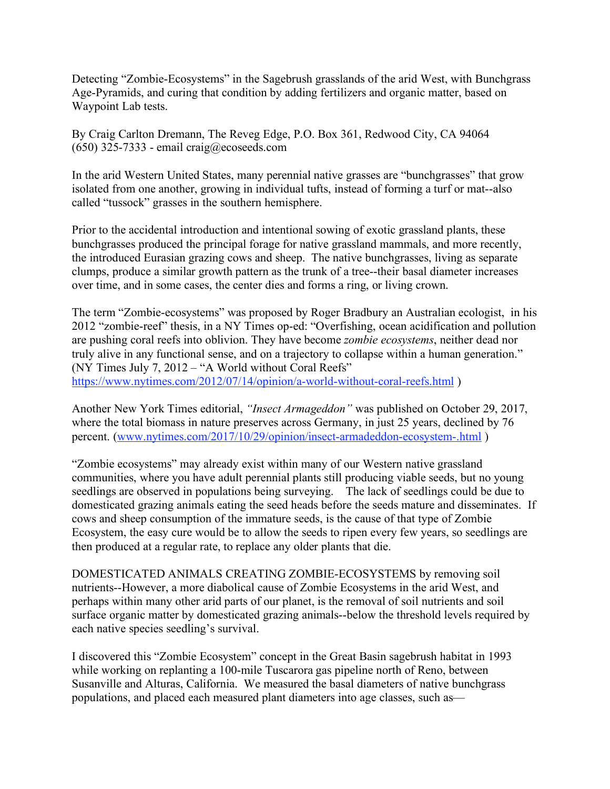Detecting "Zombie-Ecosystems" in the Sagebrush grasslands of the arid West, with Bunchgrass Age-Pyramids, and curing that condition by adding fertilizers and organic matter, based on Waypoint Lab tests.

By Craig Carlton Dremann, The Reveg Edge, P.O. Box 361, Redwood City, CA 94064  $(650)$  325-7333 - email craig@ecoseeds.com

In the arid Western United States, many perennial native grasses are "bunchgrasses" that grow isolated from one another, growing in individual tufts, instead of forming a turf or mat--also called "tussock" grasses in the southern hemisphere.

Prior to the accidental introduction and intentional sowing of exotic grassland plants, these bunchgrasses produced the principal forage for native grassland mammals, and more recently, the introduced Eurasian grazing cows and sheep. The native bunchgrasses, living as separate clumps, produce a similar growth pattern as the trunk of a tree--their basal diameter increases over time, and in some cases, the center dies and forms a ring, or living crown.

The term "Zombie-ecosystems" was proposed by Roger Bradbury an Australian ecologist, in his 2012 "zombie-reef" thesis, in a NY Times op-ed: "Overfishing, ocean acidification and pollution are pushing coral reefs into oblivion. They have become *zombie ecosystems*, neither dead nor truly alive in any functional sense, and on a trajectory to collapse within a human generation." (NY Times July 7, 2012 – "A World without Coral Reefs" https://www.nytimes.com/2012/07/14/opinion/a-world-without-coral-reefs.html )

Another New York Times editorial, *"Insect Armageddon"* was published on October 29, 2017, where the total biomass in nature preserves across Germany, in just 25 years, declined by 76 percent. (www.nytimes.com/2017/10/29/opinion/insect-armadeddon-ecosystem-.html )

"Zombie ecosystems" may already exist within many of our Western native grassland communities, where you have adult perennial plants still producing viable seeds, but no young seedlings are observed in populations being surveying. The lack of seedlings could be due to domesticated grazing animals eating the seed heads before the seeds mature and disseminates. If cows and sheep consumption of the immature seeds, is the cause of that type of Zombie Ecosystem, the easy cure would be to allow the seeds to ripen every few years, so seedlings are then produced at a regular rate, to replace any older plants that die.

DOMESTICATED ANIMALS CREATING ZOMBIE-ECOSYSTEMS by removing soil nutrients--However, a more diabolical cause of Zombie Ecosystems in the arid West, and perhaps within many other arid parts of our planet, is the removal of soil nutrients and soil surface organic matter by domesticated grazing animals--below the threshold levels required by each native species seedling's survival.

I discovered this "Zombie Ecosystem" concept in the Great Basin sagebrush habitat in 1993 while working on replanting a 100-mile Tuscarora gas pipeline north of Reno, between Susanville and Alturas, California. We measured the basal diameters of native bunchgrass populations, and placed each measured plant diameters into age classes, such as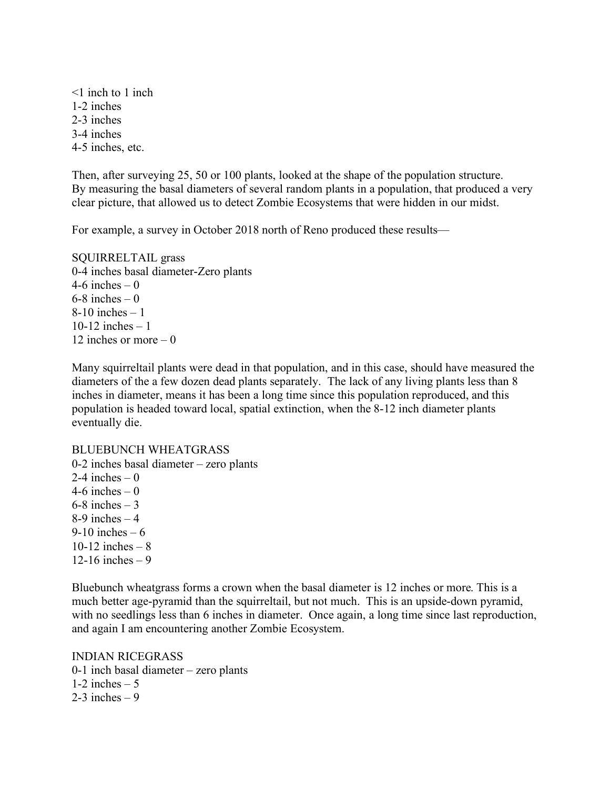<1 inch to 1 inch 1-2 inches 2-3 inches 3-4 inches 4-5 inches, etc.

Then, after surveying 25, 50 or 100 plants, looked at the shape of the population structure. By measuring the basal diameters of several random plants in a population, that produced a very clear picture, that allowed us to detect Zombie Ecosystems that were hidden in our midst.

For example, a survey in October 2018 north of Reno produced these results—

SQUIRRELTAIL grass 0-4 inches basal diameter-Zero plants 4-6 inches  $-0$  $6-8$  inches  $-0$  $8-10$  inches  $-1$ 10-12 inches – 1 12 inches or more  $= 0$ 

Many squirreltail plants were dead in that population, and in this case, should have measured the diameters of the a few dozen dead plants separately. The lack of any living plants less than 8 inches in diameter, means it has been a long time since this population reproduced, and this population is headed toward local, spatial extinction, when the 8-12 inch diameter plants eventually die.

## BLUEBUNCH WHEATGRASS

0-2 inches basal diameter – zero plants 2-4 inches  $-0$ 4-6 inches  $-0$  $6-8$  inches  $-3$ 8-9 inches  $-4$  $9-10$  inches  $-6$ 10-12 inches –  $8$ 12-16 inches – 9

Bluebunch wheatgrass forms a crown when the basal diameter is 12 inches or more. This is a much better age-pyramid than the squirreltail, but not much. This is an upside-down pyramid, with no seedlings less than 6 inches in diameter. Once again, a long time since last reproduction, and again I am encountering another Zombie Ecosystem.

INDIAN RICEGRASS 0-1 inch basal diameter – zero plants 1-2 inches  $-5$ 2-3 inches  $-9$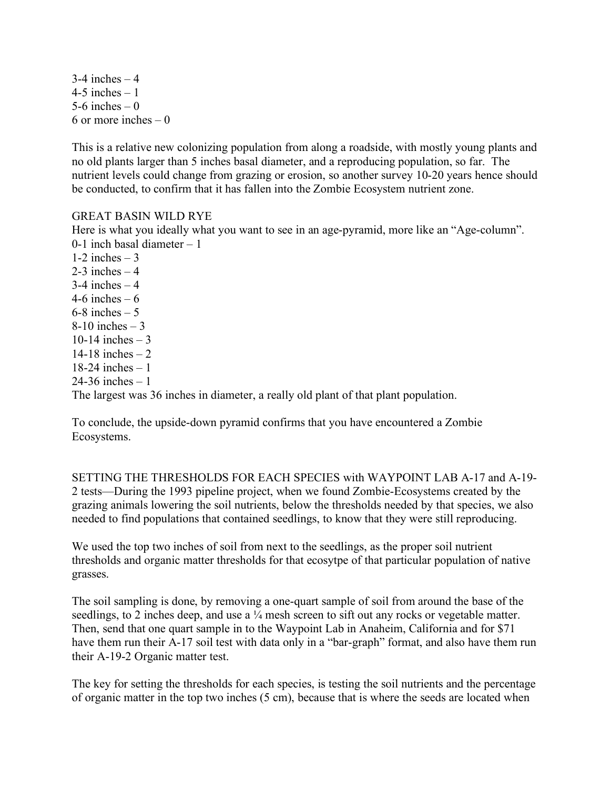$3-4$  inches  $-4$ 4-5 inches  $-1$ 5-6 inches  $-0$ 6 or more inches – 0

This is a relative new colonizing population from along a roadside, with mostly young plants and no old plants larger than 5 inches basal diameter, and a reproducing population, so far. The nutrient levels could change from grazing or erosion, so another survey 10-20 years hence should be conducted, to confirm that it has fallen into the Zombie Ecosystem nutrient zone.

## GREAT BASIN WILD RYE

Here is what you ideally what you want to see in an age-pyramid, more like an "Age-column". 0-1 inch basal diameter – 1  $1-2$  inches  $-3$  $2-3$  inches  $-4$  $3-4$  inches  $-4$ 4-6 inches  $-6$  $6-8$  inches  $-5$  $8-10$  inches  $-3$ 10-14 inches  $-3$ 14-18 inches – 2 18-24 inches – 1  $24 - 36$  inches  $-1$ The largest was 36 inches in diameter, a really old plant of that plant population.

To conclude, the upside-down pyramid confirms that you have encountered a Zombie Ecosystems.

SETTING THE THRESHOLDS FOR EACH SPECIES with WAYPOINT LAB A-17 and A-19- 2 tests—During the 1993 pipeline project, when we found Zombie-Ecosystems created by the grazing animals lowering the soil nutrients, below the thresholds needed by that species, we also needed to find populations that contained seedlings, to know that they were still reproducing.

We used the top two inches of soil from next to the seedlings, as the proper soil nutrient thresholds and organic matter thresholds for that ecosytpe of that particular population of native grasses.

The soil sampling is done, by removing a one-quart sample of soil from around the base of the seedlings, to 2 inches deep, and use a  $\frac{1}{4}$  mesh screen to sift out any rocks or vegetable matter. Then, send that one quart sample in to the Waypoint Lab in Anaheim, California and for \$71 have them run their A-17 soil test with data only in a "bar-graph" format, and also have them run their A-19-2 Organic matter test.

The key for setting the thresholds for each species, is testing the soil nutrients and the percentage of organic matter in the top two inches (5 cm), because that is where the seeds are located when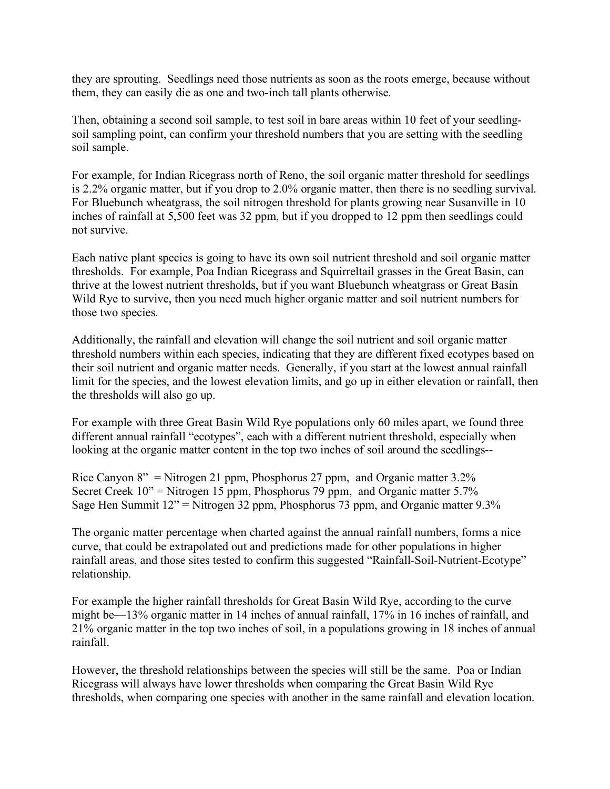they are sprouting. Seedlings need those nutrients as soon as the roots emerge, because without them, they can easily die as one and two-inch tall plants otherwise.

Then, obtaining a second soil sample, to test soil in bare areas within 10 feet of your seedlingsoil sampling point, can confirm your threshold numbers that you are setting with the seedling soil sample.

For example, for Indian Ricegrass north of Reno, the soil organic matter threshold for seedlings is 2.2% organic matter, but if you drop to 2.0% organic matter, then there is no seedling survival. For Bluebunch wheatgrass, the soil nitrogen threshold for plants growing near Susanville in 10 inches of rainfall at 5,500 feet was 32 ppm, but if you dropped to 12 ppm then seedlings could not survive.

Each native plant species is going to have its own soil nutrient threshold and soil organic matter thresholds. For example, Poa Indian Ricegrass and Squirreltail grasses in the Great Basin, can thrive at the lowest nutrient thresholds, but if you want Bluebunch wheatgrass or Great Basin Wild Rye to survive, then you need much higher organic matter and soil nutrient numbers for those two species.

Additionally, the rainfall and elevation will change the soil nutrient and soil organic matter threshold numbers within each species, indicating that they are different fixed ecotypes based on their soil nutrient and organic matter needs. Generally, if you start at the lowest annual rainfall limit for the species, and the lowest elevation limits, and go up in either elevation or rainfall, then the thresholds will also go up.

For example with three Great Basin Wild Rye populations only 60 miles apart, we found three different annual rainfall "ecotypes", each with a different nutrient threshold, especially when looking at the organic matter content in the top two inches of soil around the seedlings--

Rice Canyon  $8''$  = Nitrogen 21 ppm, Phosphorus 27 ppm, and Organic matter 3.2% Secret Creek  $10$ " = Nitrogen 15 ppm, Phosphorus 79 ppm, and Organic matter 5.7% Sage Hen Summit  $12$ " = Nitrogen 32 ppm, Phosphorus 73 ppm, and Organic matter 9.3%

The organic matter percentage when charted against the annual rainfall numbers, forms a nice curve, that could be extrapolated out and predictions made for other populations in higher rainfall areas, and those sites tested to confirm this suggested "Rainfall-Soil-Nutrient-Ecotype" relationship.

For example the higher rainfall thresholds for Great Basin Wild Rye, according to the curve might be—13% organic matter in 14 inches of annual rainfall, 17% in 16 inches of rainfall, and 21% organic matter in the top two inches of soil, in a populations growing in 18 inches of annual rainfall.

However, the threshold relationships between the species will still be the same. Poa or Indian Ricegrass will always have lower thresholds when comparing the Great Basin Wild Rye thresholds, when comparing one species with another in the same rainfall and elevation location.